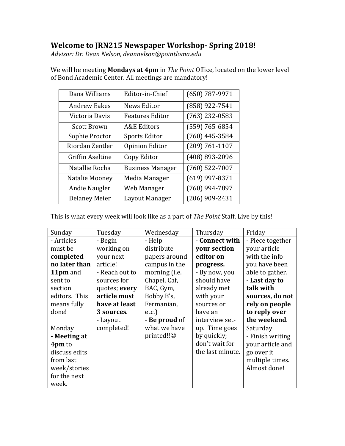# **Welcome to JRN215 Newspaper Workshop- Spring 2018!**

*Advisor: Dr. Dean Nelson, deannelson@pointloma.edu*

| Dana Williams        | Editor-in-Chief         | $(650)$ 787-9971   |
|----------------------|-------------------------|--------------------|
| <b>Andrew Eakes</b>  | <b>News Editor</b>      | (858) 922-7541     |
| Victoria Davis       | <b>Features Editor</b>  | $(763)$ 232-0583   |
| <b>Scott Brown</b>   | <b>A&amp;E Editors</b>  | $(559) 765 - 6854$ |
| Sophie Proctor       | <b>Sports Editor</b>    | $(760)$ 445-3584   |
| Riordan Zentler      | <b>Opinion Editor</b>   | $(209) 761 - 1107$ |
| Griffin Aseltine     | Copy Editor             | (408) 893-2096     |
| Natallie Rocha       | <b>Business Manager</b> | $(760)$ 522-7007   |
| Natalie Mooney       | Media Manager           | $(619)$ 997-8371   |
| Andie Naugler        | Web Manager             | $(760)$ 994-7897   |
| <b>Delaney Meier</b> | Layout Manager          | $(206)$ 909-2431   |

We will be meeting **Mondays at 4pm** in *The Point* Office, located on the lower level of Bond Academic Center. All meetings are mandatory!

This is what every week will look like as a part of *The Point* Staff. Live by this!

| Sunday        | Tuesday        | Wednesday     | Thursday         | Friday           |
|---------------|----------------|---------------|------------------|------------------|
| - Articles    | - Begin        | - Help        | - Connect with   | - Piece together |
| must be       | working on     | distribute    | your section     | your article     |
| completed     | your next      | papers around | editor on        | with the info    |
| no later than | article!       | campus in the | progress.        | you have been    |
| 11pm and      | - Reach out to | morning (i.e. | - By now, you    | able to gather.  |
| sent to       | sources for    | Chapel, Caf,  | should have      | - Last day to    |
| section       | quotes; every  | BAC, Gym,     | already met      | talk with        |
| editors. This | article must   | Bobby B's,    | with your        | sources, do not  |
| means fully   | have at least  | Fermanian,    | sources or       | rely on people   |
| done!         | 3 sources.     | $etc.$ )      | have an          | to reply over    |
|               | - Layout       | - Be proud of | interview set-   | the weekend.     |
| Monday        | completed!     | what we have  | up. Time goes    | Saturday         |
| - Meeting at  |                | printed!!     | by quickly;      | - Finish writing |
| 4pm to        |                |               | don't wait for   | your article and |
| discuss edits |                |               | the last minute. | go over it       |
| from last     |                |               |                  | multiple times.  |
| week/stories  |                |               |                  | Almost done!     |
| for the next  |                |               |                  |                  |
| week.         |                |               |                  |                  |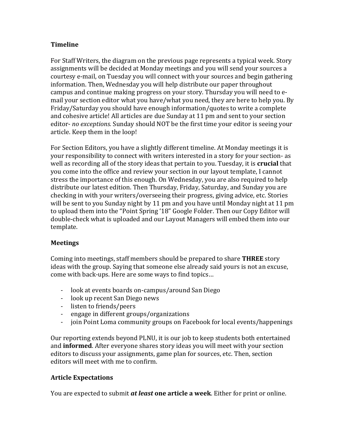# **Timeline**

For Staff Writers, the diagram on the previous page represents a typical week. Story assignments will be decided at Monday meetings and you will send your sources a courtesy e-mail, on Tuesday you will connect with your sources and begin gathering information. Then, Wednesday you will help distribute our paper throughout campus and continue making progress on your story. Thursday you will need to email your section editor what you have/what you need, they are here to help you. By Friday/Saturday you should have enough information/quotes to write a complete and cohesive article! All articles are due Sunday at 11 pm and sent to your section editor- *no exceptions.* Sunday should NOT be the first time your editor is seeing your article. Keep them in the loop!

For Section Editors, you have a slightly different timeline. At Monday meetings it is your responsibility to connect with writers interested in a story for your section- as well as recording all of the story ideas that pertain to you. Tuesday, it is **crucial** that you come into the office and review your section in our layout template, I cannot stress the importance of this enough. On Wednesday, you are also required to help distribute our latest edition. Then Thursday, Friday, Saturday, and Sunday you are checking in with your writers/overseeing their progress, giving advice, etc. Stories will be sent to you Sunday night by 11 pm and you have until Monday night at 11 pm to upload them into the "Point Spring '18" Google Folder. Then our Copy Editor will double-check what is uploaded and our Layout Managers will embed them into our template.

## **Meetings**

Coming into meetings, staff members should be prepared to share **THREE** story ideas with the group. Saying that someone else already said yours is not an excuse, come with back-ups. Here are some ways to find topics…

- look at events boards on-campus/around San Diego
- look up recent San Diego news
- listen to friends/peers
- engage in different groups/organizations
- join Point Loma community groups on Facebook for local events/happenings

Our reporting extends beyond PLNU, it is our job to keep students both entertained and **informed**. After everyone shares story ideas you will meet with your section editors to discuss your assignments, game plan for sources, etc. Then, section editors will meet with me to confirm.

# **Article Expectations**

You are expected to submit *at least* **one article a week**. Either for print or online.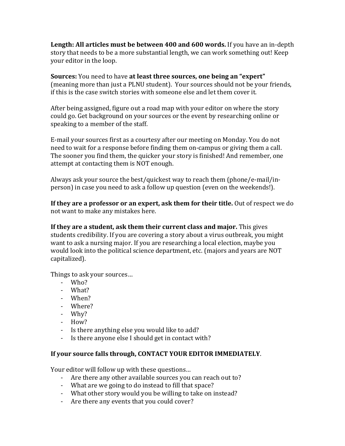**Length: All articles must be between 400 and 600 words.** If you have an in-depth story that needs to be a more substantial length, we can work something out! Keep your editor in the loop.

**Sources:** You need to have **at least three sources, one being an "expert"** (meaning more than just a PLNU student). Your sources should not be your friends, if this is the case switch stories with someone else and let them cover it.

After being assigned, figure out a road map with your editor on where the story could go. Get background on your sources or the event by researching online or speaking to a member of the staff.

E-mail your sources first as a courtesy after our meeting on Monday. You do not need to wait for a response before finding them on-campus or giving them a call. The sooner you find them, the quicker your story is finished! And remember, one attempt at contacting them is NOT enough.

Always ask your source the best/quickest way to reach them (phone/e-mail/inperson) in case you need to ask a follow up question (even on the weekends!).

**If they are a professor or an expert, ask them for their title.** Out of respect we do not want to make any mistakes here.

**If they are a student, ask them their current class and major.** This gives students credibility. If you are covering a story about a virus outbreak, you might want to ask a nursing major. If you are researching a local election, maybe you would look into the political science department, etc. (majors and years are NOT capitalized).

Things to ask your sources…

- Who?
- What?
- When?
- Where?
- Why?
- How?
- Is there anything else you would like to add?
- Is there anyone else I should get in contact with?

# **If your source falls through, CONTACT YOUR EDITOR IMMEDIATELY**.

Your editor will follow up with these questions…

- Are there any other available sources you can reach out to?
- What are we going to do instead to fill that space?
- What other story would you be willing to take on instead?
- Are there any events that you could cover?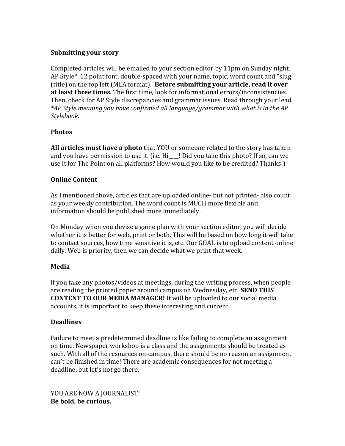## **Submitting your story**

Completed articles will be emailed to your section editor by 11pm on Sunday night, AP Style\*, 12 point font, double-spaced with your name, topic, word count and "slug" (title) on the top left (MLA format). **Before submitting your article, read it over at least three times**. The first time, look for informational errors/inconsistencies. Then, check for AP Style discrepancies and grammar issues. Read through your lead. *\*AP Style meaning you have confirmed all language/grammar with what is in the AP Stylebook.* 

## **Photos**

**All articles must have a photo** that YOU or someone related to the story has taken and you have permission to use it. (i.e.  $Hi$   $\blacksquare$ ! Did you take this photo? If so, can we use it for The Point on all platforms? How would you like to be credited? Thanks!)

## **Online Content**

As I mentioned above, articles that are uploaded online- but not printed- also count as your weekly contribution. The word count is MUCH more flexible and information should be published more immediately.

On Monday when you devise a game plan with your section editor, you will decide whether it is better for web, print or both. This will be based on how long it will take to contact sources, how time sensitive it is, etc. Our GOAL is to upload content online daily. Web is priority, then we can decide what we print that week.

## **Media**

If you take any photos/videos at meetings, during the writing process, when people are reading the printed paper around campus on Wednesday, etc. **SEND THIS CONTENT TO OUR MEDIA MANAGER!** It will be uploaded to our social media accounts, it is important to keep these interesting and current.

## **Deadlines**

Failure to meet a predetermined deadline is like failing to complete an assignment on time. Newspaper workshop is a class and the assignments should be treated as such. With all of the resources on-campus, there should be no reason an assignment can't be finished in time! There are academic consequences for not meeting a deadline, but let's not go there.

YOU ARE NOW A JOURNALIST! **Be bold, be curious.**